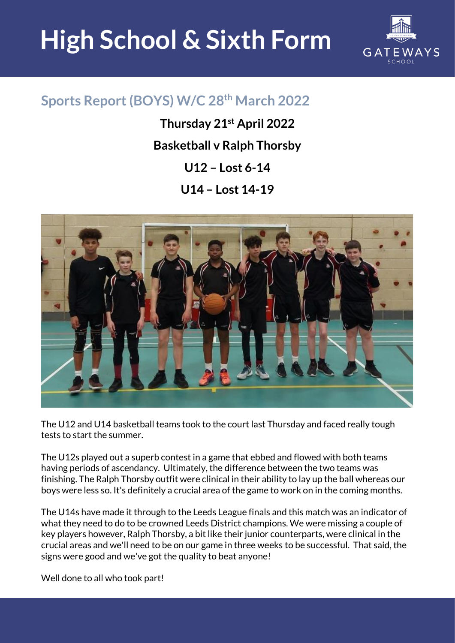## **High School & Sixth Form**



## **Sports Report (BOYS) W/C 28th March 2022**

**Thursday 21st April 2022 Basketball v Ralph Thorsby U12 – Lost 6-14 U14 – Lost 14-19**



The U12 and U14 basketball teams took to the court last Thursday and faced really tough tests to start the summer.

The U12s played out a superb contest in a game that ebbed and flowed with both teams having periods of ascendancy. Ultimately, the difference between the two teams was finishing. The Ralph Thorsby outfit were clinical in their ability to lay up the ball whereas our boys were less so. It's definitely a crucial area of the game to work on in the coming months.

The U14s have made it through to the Leeds League finals and this match was an indicator of what they need to do to be crowned Leeds District champions. We were missing a couple of key players however, Ralph Thorsby, a bit like their junior counterparts, were clinical in the crucial areas and we'll need to be on our game in three weeks to be successful. That said, the signs were good and we've got the quality to beat anyone!

Well done to all who took part!